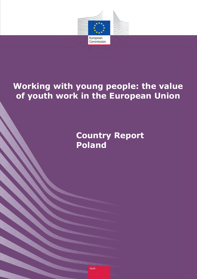

# **Working with young people: the value of youth work in the European Union**

**Country Report Poland**

Youth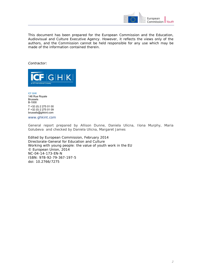

This document has been prepared for the European Commission and the Education, Audiovisual and Culture Executive Agency. However, it reflects the views only of the authors, and the Commission cannot be held responsible for any use which may be made of the information contained therein.

#### *Contractor:*



ICF GHK 146 Rue Royale Brussels B-1000 T +32 (0) 2 275 01 00 F +32 (0) 2 275 01 09 brussels@ghkint.com

[www.ghkint.com](http://www.ghkint.com/) 

General report prepared by Allison Dunne, Daniela Ulicna, Ilona Murphy, Maria Golubeva and checked by Daniela Ulicna, Margaret James

Edited by European Commission, February 2014 Directorate-General for Education and Culture Working with young people: the value of youth work in the EU © European Union, 2014 NC-04-14-173-EN-N ISBN: 978-92-79-367-197-5 doi: 10.2766/7275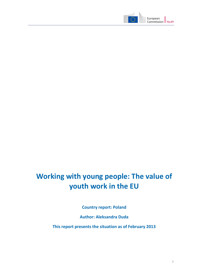

# **Working with young people: The value of youth work in the EU**

**Country report: Poland**

**Author: Aleksandra Duda**

**This report presents the situation as of February 2013**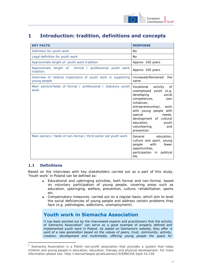

# **1 Introduction: tradition, definitions and concepts**

| <b>KEY FACTS</b>                                                            | <b>RESPONSE</b>                                                                                                                                                                                                                                                                          |
|-----------------------------------------------------------------------------|------------------------------------------------------------------------------------------------------------------------------------------------------------------------------------------------------------------------------------------------------------------------------------------|
| Definition for youth work                                                   | No.                                                                                                                                                                                                                                                                                      |
| Legal definition for youth work                                             | <b>No</b>                                                                                                                                                                                                                                                                                |
| Approximate length of youth work tradition                                  | Approx. 100 years                                                                                                                                                                                                                                                                        |
| Approximate length of formal / professional youth work<br>tradition         | Approx. 100 years                                                                                                                                                                                                                                                                        |
| Overview of relative importance of youth work in supporting<br>young people | Increased/Remained<br>the<br>same                                                                                                                                                                                                                                                        |
| Main sectors/fields of formal / professional / statutory youth<br>work      | Vocational<br>activity<br>0f<br>unemployed youth (e.g.<br>developing<br>social<br>competences,<br>own<br>initiatives,<br>entrepreneurship), work<br>with young people with<br>special<br>needs,<br>development of cultural<br>education,<br>youth<br>volunteering,<br>and<br>prevention. |
| Main sectors / fields of non-formal / third sector led youth work           | General education,<br>culture and sport, young<br>with fewer<br>people<br>opportunities,<br>participation in<br>political<br>life.                                                                                                                                                       |

### **1.1 Definitions**

-

Based on the interviews with key stakeholders carried out as a part of this study, 'Youth work' in Poland can be defined as:

- Educational and upbringing activities, both formal and non-formal, based on voluntary participation of young people, covering areas such as education, upbringing, welfare, prevention, culture, rehabilitation, sports etc.
- Compensatory measures, carried out on a regular basis, which aim to level the social deficiencies of young people and address certain problems they face (e.g. pathologies, addictions, unemployment).

# **Youth work in Siemacha Association**

It has been pointed out by the interviewed experts and practitioners that the activity of Siemacha Association<sup>1</sup> can serve as a good example of properly defined and implemented youth work in Poland. As stated on Siemacha's website, they offer '*a yard of a new generation based on the values of peers, trust, community, activity, creation, development and multimedia, offering young people the space for* 

Siemacha Association is a Polish non-profit association that provides a system that helps children and young people in education, education, therapy and physical development. For more information please see: http://siemachaspot.pl/aktualnosci/SIEMACHA-Spot,14,158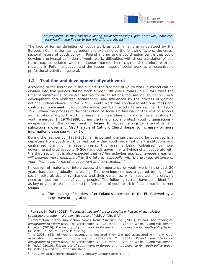

#### *development, so they can build lasting social relationships, gain new skills, learn the responsibility and live up to the role of future citizens*'.

The lack of formal definition of youth work as such in a form understood by the European Commission can be potentially explained by the following factors: the crosssectoral nature of youth policy in Poland and no single coordination centre that could develop a universal definition of youth work; difficulties with direct translation of this term (e.g. associated with the labour market, hierarchy) and therefore with its meaning in Polish language; and the vague image of social work as a recognisable professional activity in general.<sup>2</sup>

#### **1.2 Tradition and development of youth work**

According to the literature in the subject, the tradition of youth work in Poland can be divided into five periods dating back almost 100 years. Years 1918-1947 were the time of emergence of centralised youth organisations focused on education, selfdevelopment and restricted socialisation, and influenced by the process of gaining national independence. In 1948-1956, youth work was condensed into one, mass and controlled movement, ideologically influenced by the totalitarian regime. In 1957- 1970, when the process of deconstruction of socialism has begun, the role of schools as institutions of youth work increased and new ideas of a more liberal attitude to youth emerged. In 1970-1989, during the time of social protest, youth organisations independent of the government - began to appear alongside alternative and subcultural movement. Also the role of Catholic Church began to increase (for more information please see Annex 1).<sup>3</sup>

During the last period, 1989-2012, an important change that could be observed is a departure from youth work carried out within youth organisations / institutions and centralised planning. In recent years, this area is being 'colonised' by nongovernmental organisations (NGOs) and self-governments (which often cooperate with the third sector). It is also expected that '*ad hoc activities and spontaneous creativity will become more meaningful'* in the future, '*especially with the growing distance of youth from solid forms of engagement and participation'*. 4

In opinion of majority of interviewees, the importance of youth work in the past 20 years has been gradually increasing. This development was triggered by significant social, cultural, economic changes and their dynamics, which resulted in a growing need to meet the needs of young people.<sup>5</sup> The following factors have been identified as key drivers or reasons behind the formation of youth work in Poland into its current shape:

■ The opening of borders after Poland's accession to the EU followed by a large wave of migration.

 $\overline{a}$ 

<sup>2</sup> Rymsza, M. (ed.) (2012), *Pracownicy socjalni i praca socjalna w Polsce. Między służbą społeczną a urzędem,* Warsaw: Institute of Public Affairs (IPA).

<sup>3</sup> Information in this sub-section comes from: Sińczuch, M. (2009), *Poland: the ideological background to youth work*. In: Verschelden, G., Coussée, F., Van de Walle, T. and Williamson, H. (eds.) (2010), *The history of youth work in Europe and its relevance for youth policy today*, Brussels, Council of Europe Publishing.

<sup>4</sup> In 2008, 65% of young respondents declared they are not associated with any club, association, movement or organisation. (Sińczuch, M. (2009), *Poland: the ideological background to youth work*. In: Verschelden, G., Coussée, F., Van de Walle, T. and Williamson, H. (eds.) (2010), *The history of youth work in Europe and its relevance for youth policy today*. Brussels: Council of Europe Publishing.)

<sup>&</sup>lt;sup>5</sup> Interview with a representative of Voluntary Labour Corps (OHP).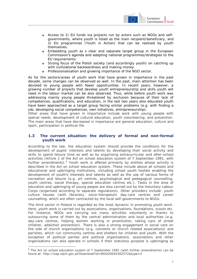

- Access to 1) EU funds via projects run by actors such as NGOs and selfgovernments, where youth is listed as the main recipient/beneficiary, and 2) EU programmes (Youth in Action) that can be realised by youth themselves.
- Embedding youth as s clear and separate target group in the European Commission's agenda and adapting national programmes/strategies to the EU requirements.
- Strong focus of the Polish society (and accordingly youth) on catching up with civilizational backwardness and making money.
- Professionalisation and growing importance of the NGO sector.

As for the sectors/areas of youth work that have grown in importance in the past decade, some changes can be observed as well. In the past, main attention has been devoted to young people with fewer opportunities. In recent years, however, a growing number of projects that develop youth entrepreneurship and skills youth will need in the labour market can be also observed. Thus, while before youth work was addressing mainly young people threatened by exclusion because of their lack of competences, qualifications, and education, in the last two years also educated youth have been approached as a target group facing similar problems (e.g. with finding a job, developing social competences, own initiatives, entrepreneurship).

Other areas that have grown in importance include work with young people with special needs, development of cultural education, youth volunteering, and prevention. The main areas that have decreased in importance are general education, culture and sport, participation in political life.

#### **1.3 The current situation: the delivery of formal and non-formal youth work**

According to the law, the education system should provide the conditions for the development of pupils' interests and talents by developing their social activity and skills to spend leisure time as well as by organising extracurricular and after-school activities (Article 1 of the Act on school education system of 7 September 1991, with further amendments).<sup>6</sup> Youth work is offered primarily by entities whose activity is described in the Act on school education system. These include above all schools and educational and upbringing institutions, including school youth hostels enabling the development of youth's interests and talents as well as the use of various forms of recreation and leisure (e.g. art centres, psychological and pedagogical counselling, youth centres, social therapy, special education centres etc.). Tasks in the area of education and upbringing of young people are also carried out by the Voluntary Labour Corps (organised according to separate regulations). Other providers include: youth culture houses (with libraries), socio-therapeutic day-care centres and career counselling, which are often contracted by the local self-governments to NGOs.

The third sector in Poland is regarded as the most dynamic in promoting youth work. Here, youth work is carried out by associations, organisations, foundations, scouts etc. For instance, NGOs are carrying out many activities voluntarily or thanks to outsourcing some of them by the central administration and local authorities (e.g. day-care centres, helping women working in prostitution, taking care of street children, addiction prevention). There is also a strong engagement in social care on the side of church organisations (e.g. convents or church related associations) and parishes, which run community centres and shelters for children and youth. With the exception of political parties and political organisations, associations and other organisations can also operate in schools if their statutory purpose is upbringing as

-

<sup>&</sup>lt;sup>6</sup> The Act on school education system of 7 September 1991 (with further amendments) can be found at: http://isap.sejm.gov.pl/Download?id=WDU20042562572&type=3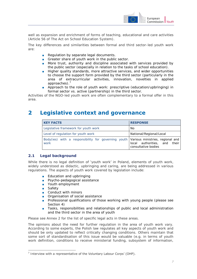

well as expansion and enrichment of forms of teaching, educational and care activities (Article 56 of The Act on School Education System).

The key differences and similarities between formal and third sector-led youth work are:

- Regulation by separate legal documents.
- Greater share of youth work in the public sector.
- More trust, authority and discipline associated with services provided by the public sector (especially in relation to the tasks of school education).
- Higher quality standards, more attractive services, and wider opportunities to choose the support form provided by the third sector (particularly in the area of extracurricular activities, innovation, novelties in applied approaches).<sup>7</sup>
- Approach to the role of youth work: prescriptive (education/upbringing) in formal sector vs. active (partnership) in the third sector.

Activities of the NGO-led youth work are often complementary to a formal offer in this area.

# **2 Legislative context and governance**

| <b>KEY FACTS</b>                                                                               | <b>RESPONSE</b>                                     |
|------------------------------------------------------------------------------------------------|-----------------------------------------------------|
| Legislative framework for youth work                                                           | No.                                                 |
| Level of regulation for youth work                                                             | National/Regional/Local                             |
| Body(ies) with a responsibility for governing youth   Various ministries, regional and<br>work | local authorities, and their<br>consultative bodies |

### **2.1 Legal background**

While there is no legal definition of 'youth work' in Poland, elements of youth work, widely understood as didactic, upbringing and caring, are being addressed in various regulations. The aspects of youth work covered by legislation include:

- Education and upbringing
- Psycho-pedagogical assistance
- Youth employment
- Safety

 $\overline{a}$ 

- Conduct with minors
- Organisation of social assistance
- Professional qualifications of those working with young people (please see Section 4)
- Tasks, responsibilities and relationships of public and local administration and the third sector in the area of youth

Please see Annex 2 for the list of specific legal acts in these areas.

The opinions about the need for further regulation in the area of youth work vary. According to some experts, the Polish law regulates all key aspects of youth work and should be only updated to reflect critically changing conditions. Others maintain that some sort of standardisation of this issue would be valuable (e.g. in terms of youth work definition, conditions to receive ministerial funding, subsystem of information,

 $7$  Interview with a representative of the Voluntary Labour Corps' (OHP).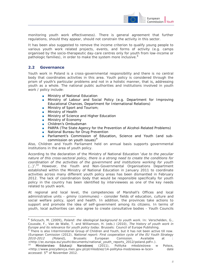

monitoring youth work effectiveness). There is general agreement that further regulations, should they appear, should not constrain the activity in this sector.

It has been also suggested to remove the income criterion to qualify young people to various youth work related projects, events, and forms of activity (e.g. camps organised by the socio-therapeutic day-care centres only for youth from low-income or pathologic families), in order to make the system more inclusive.<sup>8</sup>

### **2.2 Governance**

 $\overline{a}$ 

Youth work in Poland is a cross-governmental responsibility and there is no central body that coordinates activities in this area. Youth policy is considered through the prism of youth's particular problems and not in a holistic manner, that is, addressing youth as a whole. The national public authorities and institutions involved in youth work / policy include:

- Ministry of National Education
- Ministry of Labour and Social Policy (e.g. Department for Improving Educational Chances, Department for International Relations)
- Ministry of Sport and Tourism:
- Ministry of Health
- Ministry of Science and Higher Education
- Ministry of Economy
- Children's Ombudsman
- PARPA (The State Agency for the Prevention of Alcohol-Related Problems)
- National Bureau for Drug Prevention
- Parliament's Commission of Education, Science and Youth (and subcommission on youth issues) $9^9$

Also, Children and Youth Parliament held on annual basis supports governmental institutions in the area of youth policy.

According to the declaration of the Ministry of National Education '*due to the peculiar nature of this cross-sectoral policy, there is a strong need to create the conditions for coordination of the activities of the government and institutions working for youth*   $(...)'$ .<sup>10</sup> However, the Youth and Non-Governmental Organisations Department established within the Ministry of National Education in January 2011 to coordinate activities across many different youth policy areas has been dismantled in February 2012. The lack of coordination body that would be responsible specifically for youth policy in the country has been identified by interviewees as one of the key needs related to youth work.

At regional and local level, the competencies of Marshall's Offices and local administrative units - *gminy* (communes) - consider fields of education, culture and social welfare policy, sport and health. In addition, the provinces take actions to support and promote the idea of self-government among its citizens. In terms of youth, local authorities can also agree to create consultative bodies - Youth Councils

<sup>8</sup> Sińczuch, M. (2009), *Poland: the ideological background to youth work.* In: Verschelden, G., Coussée, F., Van de Walle, T. and Williamson, H. (eds.) (2010), *The history of youth work in Europe and its relevance for youth policy today*. Brussels: Council of Europe Publishing.

<sup>&</sup>lt;sup>9</sup> There is also Interministerial Group of Children and Youth, but it has not been active till now. (European Comission (2012), *National report: First cooperation cycle of the EU Youth Strategy 2010-2012 (Poland),* Brussels: European Comission. Available at : <http://ec.europa.eu/youth/documents/national\_youth\_reports\_2012/poland.pdf>.). <sup>10</sup> [Ministerstwo Edukacji Narodowej](http://www.men.gov.pl/) (2011), Polityka młodzieżowa w Polsce,

<sup>&</sup>lt;http://www.prezydencja.men.gov.pl/pl/mlodziez/14-polityka-modzieowa-w-lsce> date accessed: 5th of November 2012.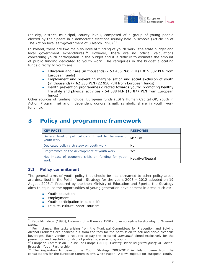

(at city, district, municipal, county level), composed of a group of young people elected by their peers in a democratic elections usually held in schools (Article 5b of The Act on local self-government of 8 March 1990).<sup>11</sup>

In Poland, there are two main sources of funding of youth work: the state budget and  $local$  government expenditures.<sup>12</sup> However, there are no official calculations concerning youth participation in the budget and it is difficult to estimate the amount of public funding dedicated to youth work. The categories in the budget allocating funds directly to youth are:

- Education and Care (in thousands) 53 406 760 PLN (1 015 532 PLN from European funds)
- Employment and preventing marginalisation and social exclusion of youth (in thousands) - 62 330 PLN (22 950 PLN from European funds)
- Health prevention programmes directed towards youth: promoting healthy life style and physical activities - 54 888 PLN (15 877 PLN from European  $funds)$ <sup>13</sup>

Other sources of funding include: European funds (ESF's Human Capital OP, Youth in Action Programme) and independent donors (small, symbolic share in youth work funding).

# **3 Policy and programme framework**

| <b>KEY FACTS</b>                                                    | <b>RESPONSE</b>  |
|---------------------------------------------------------------------|------------------|
| General level of political commitment to the issue of<br>youth work | Medium           |
| Dedicated policy / strategy on youth work                           | . No             |
| Programmes on the development of youth work                         | Yes              |
| Net impact of economic crisis on funding for youth<br>work          | Negative/Neutral |

# **3.1 Policy commitment**

The general aims of youth policy that should be mainstreamed to other policy areas are described in the Polish Youth Strategy for the years 2003 – 2012 adopted on 19 August 2003.<sup>14</sup> Prepared by the then Ministry of Education and Sports, the Strategy aims to equalise the opportunities of young generation development in areas such as:

- Youth education
- Employment

 $\overline{a}$ 

- Youth participation in public life
- Leisure, culture, sport, tourism

<sup>11</sup> Rada Ministrow (1990), Ustawa z dnia 8 marca 1990 r. o samorządzie terytorialnym, *Dziennik Ustaw.*

 $12$  For instance, the tasks arising from the Municipal Committees for Prevention and Solving Alcohol Problems are financed out from the fees for the permission to sell and serve alcoholic beverages. Each vendor is required to pay the so-called '*kapslowe*' aimed exclusively for the prevention and resolution of alcohol problems, also among youth.

<sup>13</sup> European Commission, Council of Europe (2011), *Country sheet on youth policy in Poland*. Brussels: Youth Partnership.

<sup>&</sup>lt;sup>14</sup> The inspiration to develop the Youth Strategy 2003-2012 in Poland came from the consultations for the European Commission's White Paper - A New Impetus for European Youth.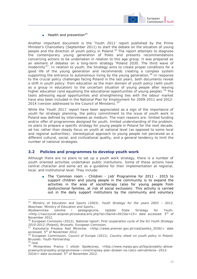

 $\blacksquare$  Health and prevention<sup>15</sup>

Another important document is the 'Youth 2011' report published by the Prime Minister's Chancellery (September 2011) to start the debate on the situation of young people and the direction of youth policy in Poland.<sup>16</sup> The report attempts to diagnose the contemporary young generation of Poles and presents recommendations concerning actions to be undertaken in relation to this age group. It was prepared as an element of debates on a long-term strategy 'Poland 2030. The third wave of modernity<sup>'17</sup>. In relation to youth, the Strategy aims to create proper conditions for a good life of the young generation and recommends creating a complex system supporting the entrance to autonomous living by the young generation.<sup>18</sup> In response to the crucial policy challenges facing Poland in the last years, both documents reveal a shift in youth policy: from education as the main domain of youth policy (with youth as a group in education) to the uncertain situation of young people after leaving higher education (and equalising the educational opportunities of young people).<sup>19</sup> The tasks adressing equal opportunities and strengthening ties with the labour market have also been included in the National Plan for Employment for 2009-2011 and 2012- 2014 (version addressed to the Council of Ministers).<sup>20</sup>

While the 'Youth 2011' report have been appreciated as a sign of the importance of youth for strategic planning, the policy commitment to the issue of youth work in Poland was defined by interviewees as medium. The main reasons are: limited funding and/or offer of programmes designed for youth, limited understanding of the problem, no plans to prepare a specific strategy for young people in Poland for the next decade, ad hoc rather than steady focus on youth at national level (as opposed to some local and regional authorities), stereotypical approach to young people not perceived as a different cultural, social, and civilizational quality, and a general tendency to limit the number of national strategies.

### **3.2 Policies and programmes to develop youth work**

 $\overline{a}$ 

Although there are no plans to set up a youth work strategy, there is a number of youth oriented activities undertaken public institutions. Some of these actions have central character and some act as a guideline for their implementation at regional, local, and institutional level. They include:

■ The 'Common room - Children - Job' Programme for 2011 - 2015 to support children and young people in the community is to expand the activities in the area of sociotherapy (also for young people from dysfunctional families, at risk of social exclusion). This activity is carried out in the daily support institutions by the community and voluntary

<sup>15</sup> Ministry of Education and Sports (2003), *Youth Strategy for the years 2003 – 2012*, Waschaw: Ministry of Education and Sports.;

Wydawnictwa szkolne i pedagogiczne, Update State Strategy for Youth,  $\lt$ http://nauczyciel.wsipnet.pl/oswiata/arts.php?dz=5&nid=2615&r=15> date accessed: 5<sup>th</sup> of November 2012.

<sup>16</sup> European Comission (2012), *National report: First cooperation cycle of the EU Youth Strategy 2010-2012 (Poland),* Brussels: European Comission.

<sup>17</sup> Kancelaria Prezesa Rad Minisrów, <http://www.premier.gov.pl/rzad/polska\_2030/> date accessed: 5<sup>th</sup> of November 2012.

<sup>18</sup> European Commission, Council of Europe (2011), *Country sheet on youth policy in Poland*. Brussels: Youth Partnership.  $19$  Ibid.

<sup>&</sup>lt;sup>20</sup> Miniserstwo Prancy I olityki Społecznej, <http://www.mpips.gov.pl/bip/projekty-aktowprawnych/projekty-programmeow-i-inne/krajowy-plan-dzialan-na-rzecz-zatrudnienia--2012-  $2014$ /> date accessed:  $5<sup>th</sup>$  of November 2012.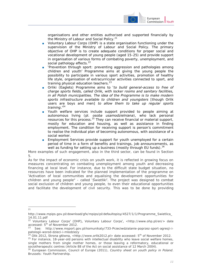

organisations and other entities authorised and supported financially by the Ministry of Labour and Social Policy.<sup>21</sup>

- Voluntary Labour Corps (OHP) is a state organisation functioning under the supervision of the Ministry of Labour and Social Policy. The primary objective of OHP is to create adequate conditions for proper social and vocational development of young people (aged 15-25) and provide support in organisation of various forms of combating poverty, unemployment, and social pathology effects.<sup>22</sup>
- Prevention through sport: preventing aggression and pathologies among children and youth' Programme aims at giving the young people the possibility to participate in various sport activities, promotion of healthy life style, organisation of extracurricular activities connected to sport, and training physical education teachers. $23$
- Orliki (Eaglets) Programme aims to '*to build general-access to free of charge sports fields, called Orlik, with locker rooms and sanitary facilities, in all Polish municipalities. The idea of the Programme is to make modern sports infrastructure available to children and youngsters* [though Orlik users are boys and men] *to allow them to take up regular sports training*.'<sup>24</sup>
- Youth welfare services include support provided to people aiming at autonomous living (pl. *osoba usamodzielniana*), who lack personal resources for this process.<sup>25</sup> They can receive financial or material support, mostly for education and housing, as well as assistance in finding employment. The condition for receiving support is person's commitment to realise the individual plan of becoming autonomous, with assistance of a social worker.
- Employment Services provide support for youth unemployed for a certain period of time in a form of benefits and trainings, job announcements, as well as funding for setting up a business (mostly through EU funds).<sup>26</sup>

More examples of such engagement, also in the third sector, can be found in Section 5.

As for the impact of economic crisis on youth work, it is reflected in growing focus on measures concentrating on combating unemployment among youth and decreasing financing at local level. For instance, due to the difficult state budget situation, no resources have been indicated for the planned implementation of the programme on 'Activation of local communities and equalising the development opportunities for children and young people" - called '*Świetliki*'. The project was designed to combat social exclusion of children and young people, to even their educational opportunities and facilitate the development of civil security. This was to be done by providing

 $\frac{1}{21}$ 

http://www.mpips.gov.pl/download/gfx/mpips/pl/defaultopisy/4527/1/1/Programme\_Swietlica\_ 14.01.11.pdf

<sup>&</sup>lt;sup>22</sup> Voluntary Labour Corps' (OHP), Voluntary Labour Corps', <http://www.ohp.pl/en/> date accessed: 5<sup>th</sup> of November 2012.

<sup>&</sup>lt;sup>23</sup> See: http://www.msport.gov.pl/komunikaty/733-Przeciwdzialanie-poprzez-sport-agresji-ipatologii-wsrod-dzieci-i-mlodziezy

 $^{24}$  Olik 2012, Strona główna, <http://www.orlik2012.pl> date accessed: 5<sup>th</sup> of November 2012.

<sup>25</sup> For instance, 18-year-old persons with intellectual disability who leave social welfare homes, single mothers from single mother homes, or those leaving a reformatory, educational or sociotherapeutic centres (Article 88 of the Act on social assistance of 12 March 2004).

<sup>26</sup> European Commission, Council of Europe (2011), *Country sheet on youth policy in Poland*. Brussels: Youth Partnership.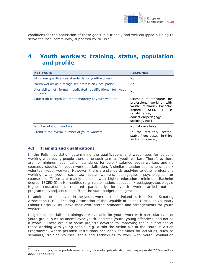

conditions for the realisation of these goals in a friendly and well equipped building to serve the local community, supported by NGOs. $27$ 

# **4 Youth workers: training, status, population and profile**

| <b>KEY FACTS</b>                                                      | <b>RESPONSE</b>                                                                                                                                                     |
|-----------------------------------------------------------------------|---------------------------------------------------------------------------------------------------------------------------------------------------------------------|
| Minimum qualifications standards for youth workers                    | No.                                                                                                                                                                 |
| Youth worker as a recognised profession / occupation                  | No.                                                                                                                                                                 |
| Availability of formal, dedicated qualifications for youth<br>workers | No.                                                                                                                                                                 |
| Education background of the majority of youth workers                 | Example of standards for<br>professions working with<br>youth: minimum Bachelor<br>degree, ISCED 5, in<br>rehabilitation.<br>education/pedagogy,<br>sociology etc.] |
| Number of youth workers                                               | No data available                                                                                                                                                   |
| Trend in the overall number of youth workers                          | In the statutory sector:<br>stable / decreased; in third<br>sector: increased]                                                                                      |

# **4.1 Training and qualifications**

-

In the Polish legislation determining the qualifications and wage rates for persons working with young people there is no such term as 'youth worker'. Therefore, there are no minimum qualification standards for paid / salaried youth workers and no courses / studies for youth work specialisation. A similar situation applies to unpaid / volunteer youth workers. However, there are standards applying to other professions working with youth such as: social workers, pedagogues, psychologists, or counsellors. These are mainly persons with higher education (minimum Bachelor degree, ISCED 5) in Humanities (e.g. rehabilitation, education / pedagogy, sociology). Higher education is required particularly for youth work carried out in programmes/projects funded from the state budget and agencies.

In addition, other players in the youth work sector in Poland such as Polish Scouting Association (ZHP), Scouting Association of the Republic of Poland (ZHR), or Voluntary Labour Corps (OHP), have their own internal standards and arrangements for youth workers.

In general, specialised trainings are available for youth work with particular type of youth group, such as unemployed youth, addicted youth, young offenders, and not as a whole. There are also some projects devoted to improving the qualifications of those working with young people (e.g. within the Action 4.3 of the Youth in Action Programme) where persons/ institutions can apply for funds for activities, such as seminars, training courses, tools and techniques to work with youth, evaluation

<sup>27</sup> See: http://www.portalsamorzadowy.pl/edukacja/deficyt-finansow-pograzyl-8222-swietliki-8221,31656.html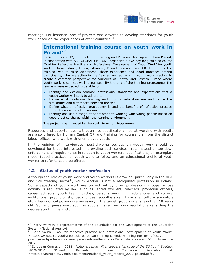

meetings. For instance, one of projects was devoted to develop standards for youth work based on the experiences of other countries.<sup>28</sup>

# **International training course on youth work in Poland<sup>29</sup>**

In September 2012, the Centre for Training and Personal Development from Poland, in cooperation with ACT GLOBAL CIC (UK), organised a five-day long training course 'Tool for Reflective Practice and Professional Development of Youth Work' for youth workers from Estonia, Latvia, Lithuania, Poland, Romania, and UK. The aim of the training was to raise awareness, share experience and good practices among participants, who are active in the field as well as revising youth work practice to create a common perspective for countries of Central and Eastern Europe where youth work is still not well recognised. By the end of the training programme, the learners were expected to be able to:

- Identify and explain common professional standards and expectations that a youth worker will seek to adhere to.
- Define what nonformal learning and informal education are and define the similarities and differences between the two.
- Define what a reflective practitioner is and the benefits of reflective practice within their own work environment.
- Identify and use a range of approaches to working with young people based on good practice shared within the learning environment.

The project was financed by the Youth in Action Programme.

Resources and opportunities, although not specifically aimed at working with youth, are also offered by Human Capital OP and training for counsellors from the district labour offices, who work with unemployed youth.

In the opinion of interviewees, post-diploma courses on youth work should be developed for those interested in providing such services. Yet, instead of top-down enforcement of requirements in relation to youth workers' qualifications, an exemplary model (good practices) of youth work to follow and an educational profile of youth worker to refer to could be offered.

### **4.2 Status of youth worker profession**

-

Although the role of youth work and youth workers is growing, particularly in the NGO and volunteering sector<sup>30</sup>, youth worker is not a recognised profession in Poland. Some aspects of youth work are carried out by other professional groups, whose activity is regulated by law, such as: social workers, teachers, probation officers, career advisors, youth team coaches, persons working in educational and cultural institutions (psychologists, pedagogues, sociotherapist, librarians, culture animators etc.). Pedagogical powers are necessary if the target group's age is less than 18 years old. Some organisations, such as scouts, have their own regulations regarding the degree scouting instructor.

 $28$  Interview with a representative of the Foundation for the Development of the Education System (National Agency).

Salto youth, "Tool for reflective practice and professional development of Youth Work", <http://www.salto-youth.net/tools/european-training-calendar/training/tool-for-reflective-

practice-and-professional-development-of-youth-work.2729/> date accessed: 5<sup>th</sup> of November 2012.

<sup>30</sup> European Comission (2012), *National report: First cooperation cycle of the EU Youth Strategy 2010-2012 (Poland),* Brussels: European Comission. Available at: <http://ec.europa.eu/youth/documents/national\_youth\_reports\_2012/poland.pdf>.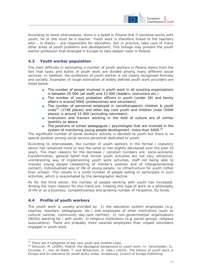

According to some interviewees, there is a belief in Poland that if someone works with youth, he or she must be a teacher. Youth work is therefore linked to the teachers who - in theory - are responsible for education, but in practice, take care of many other areas of youth problems and development. This linkage may prevent the youth worker profession that emerged in Europe to take deeper roots in Poland.

### **4.3 Youth worker population**

The main difficulty in estimating a number of youth workers in Poland stems from the fact that tasks and duties of youth work are divided among many different social services. In addition, the profession of youth worker is not clearly recognised formally and socially. Examples of rough estimation of widely defined youth work providers are listed below:

- The number of people involved in youth work in all scouting organisations is between 20 000 (all staff) and 13 000 (leaders, instructors etc.).
- The number of court probation officers in youth (under 18) and family affairs is around 5000 (professionals and volunteers).
- The number of personnel employed in sociotherapeutic children & youth clubs $^{31}$  (1748 places) and other day care youth and children clubs (5000 places) is around 15 000 (excluding volunteers).
- Instructors and trainers working in the field of culture are of similar quantity as above.
- The positions of school pedagogues / psychologist that are involved in the system of monitoring young people development -more than 5000.<sup>32</sup>

The significant number of social workers' activity is devoted to youth but there is no special position among social service personnel dedicated to youth.

According to interviewees, the number of youth workers in the formal / statutory sector has remained more or less the same or has slightly decreased over the past 10 years. The main reasons for the decrease / constant numbers are: socio-economic transformation, general belief that formal youth activities are not very attractive, uninteresting way of implementing youth work activities, staff not being able to impress young people (weakening of mentor's position and of intergenerational contact), individualised way of life of young people, no infrastructure for youth (other than school). This results in a small number of people willing to participate in such activities, which is exacerbated by the demographic decline.

As for the third sector, the number of people working with youth has increased. Among the main reasons for this trend are: treating this type of work as a philosophy of life or as a business, competitiveness and growing number of recipients, EU funds.

#### **4.4 Profile of youth workers**

The youth work is usually provided by: 1) the education system employees (e.g. coaches, teachers, pedagogues, etc.) and employees of other institutions (such as cultural centres, community day-care centres); 2) non-governmental organisations (NGOs) working for / with youth; 3) religious institutions (e.g. parish groups, religious associations). There are probably more salaried employees than unpaid volunteers engaged in youth work.

<sup>-</sup> $31$  There are 4 categories of day care youth and children clubs.

<sup>32</sup> Sińczuch, M. (2009), *Poland: the ideological background to youth work*. In: Verschelden, G., Coussée, F., Van de Walle, T. and Williamson, H. (eds.) (2010), *The history of youth work in Europe and its relevance for youth policy today*, Strasbourg: Council of Europe Publishing.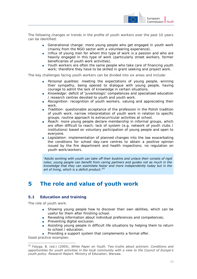

The following changes or trends in the profile of youth workers over the past 10 years can be identified:

- Generational change: more young people who get engaged in youth work (mainly from the NGO sector with a volunteering experience).
- Influx of young men for whom this type of work is a passion and who are heavily engaged in this type of work (particularly street workers, former beneficiaries of youth work activities).
- Youth workers are often the same people who take care of financing youth work; therefore they have to be skilled in grant seeking and project work.

The key challenges facing youth workers can be divided into six areas and include:

- *Personal qualities*: meeting the expectations of young people, winning their sympathy, being opened to dialogue with young people, having courage to admit the lack of knowledge in certain situations.
- *Knowledge*: deficit of 'juventologic' competences and specialised education / research centres devoted to youth and youth work.
- **Recognition**: recognition of youth workers, valuing and appreciating their work.
- *Tradition*: questionable acceptance of the profession in the Polish tradition of youth work, narrow interpretation of youth work in relation to specific groups, routine approach to extracurricular activities at school.
- *Reach*: more young people declare membership in informal groups, which are often difficult to reach; lack of system (e.g. network of youth clubs / institutions) based on voluntary participation of young people and open to everyone.
- *Legislation*: implementation of planned changes into the law exacerbating the conditions for school day-care centres to obtain a positive opinion issued by the fire department and health inspections; no regulation on youth work/workers.

*'Adults working with youth can take off their buskins and unlace their corsets of rigid roles; young people can benefit from caring partners and guides not as much in the knowledge that they can assimilate faster and more independently today but in the art of living, which is a deficit product.'<sup>33</sup>*

# **5 The role and value of youth work**

# **5.1 Education and training**

The role of youth work:

- Showing young people how to discover their own abilities, which can be useful for them after finishing school.
- Revealing information about individual preferences and competences;
- Preventing digital exclusion.
- Assisting young people in difficult life situations by helping them to return to school / education.
- Providing a support system that complements a formal offer.

Good practice examples:

-

<sup>33</sup> Fatyga, B. (ed.) (2005), *White Paper on Youth. Two truths about activism. Conditions and opportunities for youth activities in the local community with a view to the Council of Europe's youth policy*. *Research Report.* Ministry of Education, Warsaw.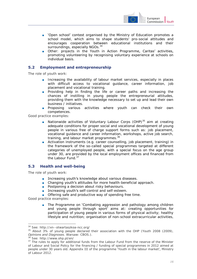

- 'Open school' contest organised by the Ministry of Education promotes a school model, which aims to shape students' pro-social attitudes and encourages cooperation between educational institutions and their surroundings, especially NGOs.<sup>34</sup>
- Other: projects in the Youth in Action Programme, Caritas' activities, promoting volunteering by recognising voluntary experience at schools on individual basis.

### **5.2 Employment and entrepreneurship**

The role of youth work:

- Increasing the availability of labour market services, especially in places with difficult access to vocational guidance, career information, job placement and vocational training.
- Providing help in finding the life or career paths and increasing the chances of instilling in young people the entrepreneurial attitudes, providing them with the knowledge necessary to set up and lead their own business / initiatives.
- Proposing various activities where youth can check their own competences.

Good practice examples:

- Nationwide activities of Voluntary Labour Corps (OHP)<sup>35</sup> aim at creating adequate conditions for proper social and vocational development of young people in various free of charge support forms such as: job placement, vocational guidance and career information, workshops, active job search, training, and labour market programmes.<sup>36</sup>
- Activation instruments (e.g. career counselling, job placement, training) in the framework of the so-called special programmes targeted at different categories of unemployed people, with a special focus on the age group under 30, are provided by the local employment offices and financed from the Labour Fund.<sup>37</sup>

### **5.3 Health and well-being**

The role of youth work:

- Increasing youth's knowledge about various diseases.
- Changing youth's attitudes for more health-beneficial approach.
- Postponing a decision about risky behaviours.
- Increasing youth's self-control and self-esteem.
- Offering safe and productive way of spending free time.

Good practice examples:

-

■ The Programme on 'Combating aggression and pathology among children and young people through sport' aims at: creating opportunities for participation of young people in various forms of physical activity; healthy lifestyle and nutrition; organisation of non-school extracurricular activities,

<sup>34</sup> See: http://xn--otwartaszkoa-ncc.org/

<sup>35</sup> About 3% of young people declared their association with the OHP (Youth 2008 (2009), *Opinions and Diagnoses*. Warsaw: CBOS.).

<sup>36</sup> See: http://www.ohp.pl/en/

<sup>&</sup>lt;sup>37</sup> The rules to apply for additional funds from the Labour Fund from the reserve of the Minister of Labour and Social Policy for the financing / funding of special programmes in 2012 aimed at people under 30 years old. Appendix III of the programme 'Youth in the labour market', Ministry of Labour 2012.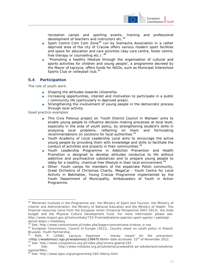

recreation camps and sporting events; training and professional development of teachers and instructors etc.<sup>38</sup>

- Sport Centre Com Com Zone<sup>39</sup> run by Siemacha Association in a rather deprived area of the city of Cracow offers various modern sport facilities and space for education and care activities (day-care centre, foster centre, free therapy or counselling etc.). $40^{\circ}$
- 'Promoting a healthy lifestyle through the organisation of cultural and sports activities for children and young people', a programme decreed by the Mayor of Łęczyca, offers funds for NGOs, such as Municipal Interschool Sports Club or volleyball club.<sup>41</sup>

### **5.4 Participation**

The role of youth work:

- Shaping the attitudes towards citizenship.
- Increasing opportunities, interest and motivation to participate in a public / community life (particularly in deprived areas).
- Strengthening the involvement of young people in the democratic process through local activity.

Good practice examples:

- This Civis Polonus project on 'Youth District Council in Warsaw' aims to enable young people to influence decision-making processes at local level, especially in the area of youth policy, by strengthening student's skills in analysing local problems, reflecting on them and formulating recommendations on solutions for local authorities.<sup>42</sup>
- Youth Academy of Local Leadership Local aims to encourage the active young people by providing them with knowledge and skills to facilitate the conduct of activities and projects in their communities.<sup>43</sup>
- Youth Leadership Programme in Addiction Prevention and Health Promotion is designed to develop attitudes conducive to life without addictive and psychoactive substances and to prepare young people to lobby for a healthy, chemical-free lifestyle in their local environment.<sup>44</sup>
- Other: Youth camps for members of the expatriate Polish community, Great Orchestra of Christmas Charity, MegaCal - Youth Centre for Local Activity in Bełchatów, Young Cracow Programme implemented by the Youth Department of Municipality, Ambassadors of Youth in Action Programme.

 $\overline{a}$ <sup>38</sup> Ministries involved in the Programme are: the Ministry of Sport and Tourism, the Ministry of Interior and Administration, the Ministry of National Education and the Ministry of Health. The financial resources come from the European Union (Financial Perspective 2007-2013), the state budget and the Physical Culture Development Fund. For more information please see: http://www.msport.gov.pl/komunikaty/733-Przeciwdzialanie-poprzez-sport-agresji-i-patologiiwsrod-dzieci-i-mlodziezy

<sup>39</sup> See: http://www.comcomzone.pl/index.php?page=comcomzone-krakow\_o-nas

<sup>40</sup> European Commission, Council of Europe (2011), *Country sheet on youth policy in Poland*. Brussels: Youth Partnership.

<sup>41</sup> Pofit, P. (2006), Łęczyca. *Kapslowe - 'money meant' for the prevention*. [<http://wiadomosci.ngo.pl/wiadomosc/238470.html>](http://wiadomosci.ngo.pl/wiadomosc/238470.html) date accessed: 23rd of November 2012. 42 See: http://www.civispolonus.org.pl/index.php/strona-gowna/193

<sup>43</sup> See: http://www.mlodziez.org.pl/szkolenia/przewodnik-po-szkoleniach/szkoleniaogolne/MALL

<sup>44</sup> See: http://www.tppu.org/programmey/165-liderzy.html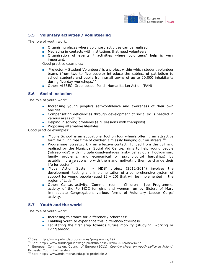

### **5.5 Voluntary activities / volunteering**

The role of youth work:

- Organising places where voluntary activities can be realised.
- Mediating in contacts with institutions that need volunteers.
- Organisation of events / activities where volunteers' help is very important.

Good practice examples:

- 'Projector Student Volunteers' is a project within which student volunteer teams (from two to five people) introduce the subject of patriotism to school students and pupils from small towns of up to 20,000 inhabitants during five-day workshops.<sup>45</sup>
- Other: AIESEC, Greenpeace, Polish Humanitarian Action (PAH).

### **5.6 Social inclusion**

The role of youth work:

- Increasing young people's self-confidence and awareness of their own abilities.
- Compensating deficiencies through development of social skills needed in various areas of life.
- Helping in solving problems (e.g. sessions with therapists).
- Proposing alternative lifestyles.

Good practice examples:

- 'Mobile School' is an educational tool on four wheels offering an attractive form for filling free time of children aimlessly hanging out on streets.<sup>46</sup>
- Programme 'Streetwork an effective contact', funded from the ESF and realised by the Municipal Social Aid Centre, aims to help young people ('street-kids') with multiple disadvantages (risky behaviours, hooliganism, family problems, and economical or psychological hardships) by establishing a relationship with them and motivating them to change their life for better.<sup>47</sup>
- 'Model Action System MDS' project (2012-2014) involves the development, testing and implementation of a comprehensive system of support for young people (aged  $15 - 20$ ) that will be implemented in the region of Lodz.<sup>48</sup>
- Other: Caritas activity, 'Common room Children Job' Programme, activity of the Po MOC for girls and women run by Sisters of Mary Immaculate Congregation, various forms of Voluntary Labour Corps' activity.

### **5.7 Youth and the world**

The role of youth work:

 $\overline{a}$ 

- Increasing tolerance for 'difference / otherness'.
- Enabling youth to experience this 'difference/otherness'.
- Facilitating the first step towards future mobility (studying, working or living abroad).

<sup>45</sup> See: http://www.pafw.pl/programmey/programme/197

<sup>46</sup> See: http://www.fundacjaludowego.pl/aktualnosci/?rok=2012&news=271

<sup>47</sup> European Commission, Council of Europe (2011), *Country sheet on youth policy in Poland*. Brussels: Youth Partnership.

<sup>48</sup> See: http://www.mds.monar.edu.pl/o-projekcie-2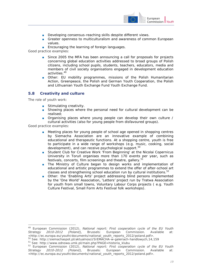

- Developing consensus-reaching skills despite different views.
- Greater openness to multiculturalism and awareness of common European values.
- Encouraging the learning of foreign languages.

Good practice examples:

- Since 2005 the MFA has been announcing a call for proposals for projects concerning global education activities addressed to broad groups of Polish citizens, including school pupils, students, teachers, educators, media and members of civil society organisations engaged in development education activities.<sup>49</sup>
- Other: EU mobility programmes, missions of the Polish Humanitarian Action, Greenpeace, the Polish and German Youth Cooperation, the Polish and Lithuanian Youth Exchange Fund Youth Exchange Fund.

#### **5.8 Creativity and culture**

The role of youth work:

- Stimulating creativity.
- Showing places where the personal need for cultural development can be realised;
- Organising places where young people can develop their own culture / cultural activities (also for young people from disfavoured groups).

Good practice examples:

-

- Meeting places for young people of school age opened in shopping centres by Siemacha Association are an innovative example of combining educational and therapeutic functions. At a shopping centre, youth is free to participate in a wide range of workshops (e.g. music, cooking, social development), and can receive psychological support.<sup>50</sup>
- Student Club for Creative Work 'From Beginning' at the Nicolai Copernicus University in Toruń organises more than 170 events per year, such as festivals, concerts, film screenings and theatre, gallery.<sup>5</sup>
- The Ministry of Culture began to design works and implementation of educational and artistic programmes to extend the offer of after-school art classes and strengthening school education run by cultural institutions.<sup>52</sup>
- Other: the 'Enabling Arts' project addressing blind persons implemented by the 'One World' Association, 'Letters' project run by Tratwa Association for youth from small towns, Voluntary Labour Corps projects ( e.g. Youth Culture Festival, Small Form Arts Festival folk workshops).

<sup>&</sup>lt;sup>49</sup> European Commission (2012), *National report: First cooperation cycle of the EU Youth*<br>Strategy 2010-2012 (Poland), Brussels: European Commission. Available at: *Strategy 2010-2012 (Poland),* Brussels: European Commission. Available at: <http://ec.europa.eu/youth/documents/national\_youth\_reports\_2012/poland.pdf>.

<sup>50</sup> See: http://siemachaspot.pl/aktualnosci/SIEMACHA-w-galeriach-handlowych,14,159

<sup>51</sup> See: http://www.odnowa.umk.pl/main.php?PAGE=historia\_klubu

<sup>&</sup>lt;sup>52</sup> European Commission (2012), **National report: First cooperation cycle of the EU Youth <br><b>Strategy 2010-2012 (Poland),** Brussels: European Commission. Available at: *Strategy 2010-2012 (Poland),* Brussels: European Commission. Available at: <http://ec.europa.eu/youth/documents/national\_youth\_reports\_2012/poland.pdf>.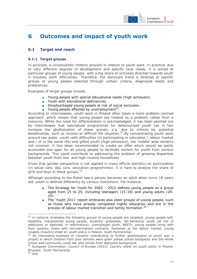

# **6 Outcomes and impact of youth work**

# **6.1 Target and reach**

#### **6.1.1 Target groups**

In principle, a universalistic rhetoric prevails in relation to youth work. In practice, due to very different degrees of development and specific local needs, it is aimed at particular groups of young people, with a big share of activities directed towards youth in troubles (with difficulties). Therefore, the dominant trend is directed at specific groups of young people selected through certain criteria, diagnosed needs and preferences.

Examples of target groups include:

- Young people with special educational needs (high achievers).
- Youth with educational deficiencies.
- Disadvantaged young people at risk of social exclusion.
- Young people affected by unemployment<sup>53</sup>.

According to interviewees, youth work in Poland often takes a more problem-centred approach, which means that young people are treated as a problem rather than a resource. While the need for differentiation is acknowledged, it has been pointed out by interviewees that specialised programmes for defavourised youth can in fact increase the ghettoisation of these groups, e.g. due to criteria for potential beneficiaries, such as income or difficult life situation.<sup>54</sup> By concentrating youth work around two poles: youth with difficulties (in participating in education / labour market and / or in the social life) and gifted youth (high achievers), the 'middle' area remains not covered. It has been recommended to create an offer which would be easily accessible and open for all young people to facilitate contact for youth from various backgrounds. This could contribute to addressing the problem of growing disparities between youth from low- and high-income households.

Given that gender perspective is not applied in many official statistics on participation (in social care, day care, education programmes), it is hard to analyse the share of girls and boys in these groups.<sup>55</sup>

Although according to the Polish law a person becomes an adult when turns 18 years old, youth is defined differently by various institutions. For instance:

- The Strategy for Youth for  $2003 2012$  defines young people as a group aged from 15 to 25, including teenagers (15-19) and young adults (20- 25).
- The 'Youth 2011' report embraces also older groups of young people, such as those who have already completed higher education and are in the process of labour market transition and family formation.<sup>56</sup>

 $\overline{a}$ 

<sup>&</sup>lt;sup>53</sup> In national strategies the following groups of young people are targeted: young people with disability, marginalized young people, students, graduates, 'dis-behaving' youth (at risk of addictions or addicted, in reformatory), unemployed youth, NEETs, young people living with their parents, those with non-permanent contracts, freshman at the labour market, young couples (Country sheet on youth policy in Poland. Youth Partnership).

<sup>&</sup>lt;sup>54</sup> An interesting example of initiative contributing to further ghettoization of youth was a project in which children from poor families were given yellow school backpacks and the whole school and community could see who comes from depraved background.

<sup>55</sup> European Commission, Council of Europe (2011), *Country sheet on youth policy in Poland*. Brussels: Youth Partnership.

 $56$  Ibid.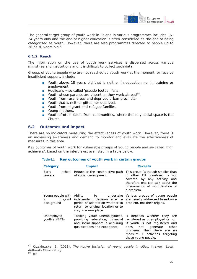

The general target group of youth work in Poland in various programmes includes 16- 24 years olds and the end of higher education is often considered as the end of being categorised as youth. However, there are also programmes directed to people up to 26 or 30 years old. $57$ 

#### **6.1.2 Reach**

-

The information on the use of youth work services is dispersed across various ministries and institutions and it is difficult to collect such data.

Groups of young people who are not reached by youth work at the moment, or receive insufficient support, include:

- Youth above 18 years old that is neither in education nor in training or employment.
- Hooligans so called 'pseudo football fans'.
- Youth whose parents are absent as they work abroad<sup>58</sup>.
- Youth from rural areas and deprived urban precincts.
- Youth that is neither gifted nor deprived.
- Youth from migrant and refugee families.
- Young mothers.
- Youth of other faiths from communities, where the only social space is the Church.

#### **6.2 Outcomes and impact**

There are no indicators measuring the effectiveness of youth work. However, there is an increasing awareness and demand to monitor and evaluate the effectiveness of measures in this area.

Key outcomes of youth work for vulnerable groups of young people and so-called 'high achievers', based on the interviews, are listed in a table below.

| <b>Category</b>                                 | <b>Impact</b>                                                                                                                       | <b>Caveats</b>                                                                                                                                                                                                                    |
|-------------------------------------------------|-------------------------------------------------------------------------------------------------------------------------------------|-----------------------------------------------------------------------------------------------------------------------------------------------------------------------------------------------------------------------------------|
| Early<br>leavers                                | school Return to the constructive path<br>of social development.                                                                    | This group (although smaller than<br>in other EU countries) is not<br>covered by any activity and<br>therefore one can talk about the<br>phenomenon of multiplication of<br>a problem.                                            |
| Young people with<br>migrant<br>a<br>background | independent decision after a<br>period of adaptation whether to<br>return to original location or to<br>stay in a new place.        | Ability to undertake Various groups of young people<br>are usually addressed based on a<br>problem, not their origins.                                                                                                            |
| Unemployed<br>youth / NEETs                     | Tackling youth unemployment,<br>providing education, financial<br>and social support in acquiring<br>qualifications and experience. | It depends whether they<br>are<br>registered as unemployed or not.<br>If youth is not registered and<br>not generate<br>other<br>does<br>problems, then there are<br>no.<br>measure / activities targeting<br>these young people. |

#### **Table 6.1 Key outcomes of youth work in certain groups**

<sup>57</sup> Krzaklewska, E. (2011), *The Active Inclusion of young people in cities.* Krakow: Local Authority Observatory. <sup>58</sup> Ibid.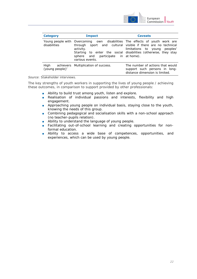

| <b>Category</b>         | <b>Impact</b>                                                       | <b>Caveats</b>                                                                                                                                                                                                                                  |
|-------------------------|---------------------------------------------------------------------|-------------------------------------------------------------------------------------------------------------------------------------------------------------------------------------------------------------------------------------------------|
| disabilities            | activity.<br>sphere and participate in at home).<br>various events. | Young people with Overcoming own disabilities The effects of youth work are<br>through sport and cultural visible if there are no technical<br>limitations to young peoples'<br>Starting to enter the social disabilities (otherwise, they stay |
| High<br>(young people)' | achievers Multiplication of success.                                | The number of actions that would<br>support such persons in long-<br>distance dimension is limited.                                                                                                                                             |

#### *Source*: Stakeholder interviews.

The key strengths of youth workers in supporting the lives of young people / achieving these outcomes, in comparison to support provided by other professionals:

- Ability to build trust among youth, listen and explore.
- Realisation of individual passions and interests, flexibility and high engagement.
- Approaching young people on individual basis, staying close to the youth, knowing the needs of this group.
- Combining pedagogical and socialisation skills with a non-school approach (no teacher-pupils relation).
- Ability to understand the language of young people.
- Facilitating out-of-school learning and creating opportunities for nonformal education.
- Ability to access a wide base of competences, opportunities, and experiences, which can be used by young people.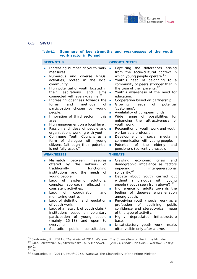

### **6.3 SWOT**

#### **Table 6.2 Summary of key strengths and weaknesses of the youth work sector in Poland**

| <b>STRENGTHS</b>                                                                                                                                                                                                                                                                                                                                                                                                                                                                                                                                                                                                                                                                                                                                                                                                                       | <b>OPPORTUNITIES</b>                                                                                                                                                                                                                                                                                                                                                                                                                                                                                                                                                                                                                                                                                                                                                                                                                                                                                                                                                                                                                                                                                                                                                                |
|----------------------------------------------------------------------------------------------------------------------------------------------------------------------------------------------------------------------------------------------------------------------------------------------------------------------------------------------------------------------------------------------------------------------------------------------------------------------------------------------------------------------------------------------------------------------------------------------------------------------------------------------------------------------------------------------------------------------------------------------------------------------------------------------------------------------------------------|-------------------------------------------------------------------------------------------------------------------------------------------------------------------------------------------------------------------------------------------------------------------------------------------------------------------------------------------------------------------------------------------------------------------------------------------------------------------------------------------------------------------------------------------------------------------------------------------------------------------------------------------------------------------------------------------------------------------------------------------------------------------------------------------------------------------------------------------------------------------------------------------------------------------------------------------------------------------------------------------------------------------------------------------------------------------------------------------------------------------------------------------------------------------------------------|
| Increasing number of youth work<br>m,<br>measures.<br>diverse<br>NGO <sub>s</sub> '<br><b>Numerous</b><br>and<br>$\blacksquare$<br>activities, rooted<br>in i<br>the<br>local<br>community.<br>High potential of youth located in<br>$\mathcal{A}$<br>their<br>aspirations<br>and<br>aims<br>connected with every-day life. <sup>59</sup><br>Increasing openness towards the<br>$\mathcal{A}$<br>and<br>methods<br>forms<br>Οf<br>participation chosen<br>by young<br>people.<br>Innovation of third sector in this<br>T.<br>area.<br>High engagement on a local level.<br>$\mathcal{L}_{\mathcal{A}}$<br>Passion and ideas of people and<br>m,<br>organisations working with youth.<br>Commune Youth Councils as a<br>m,<br>form of dialogue with<br>young<br>citizens (although their potential<br>is not fully used). <sup>60</sup> | Capturing the differences<br>arising<br>$\overline{\phantom{a}}$<br>from the socio-cultural context in<br>which young people operate. <sup>61</sup><br>Youth's need of belonging<br>to<br>a<br>T.<br>community of peers stronger than in<br>the case of their parents. <sup>62</sup><br>Youth's awareness of the need for<br>$\blacksquare$<br>education.<br>Cooperation based on partnership.<br>$\mathcal{L}_{\mathcal{A}}$<br>Growing<br>needs<br>potential<br>of the contract of the contract of the contract of the contract of the contract of the contract of the contract of the contract of the contract of the contract of the contract of the contract of the contract of the contrac<br>$\blacksquare$<br>'customers'.<br>Availability of European funds.<br>$\blacksquare$<br>Wide range of possibilities<br>for<br>$\blacksquare$<br>enhancing the<br>attractiveness<br><b>of</b><br>youth work.<br>Recognition of youth work and youth<br>T.<br>worker as a profession.<br>Development of social media<br>in.<br>$\mathcal{L}_{\mathcal{A}}$<br>communication with young people.<br>Potential<br>of<br>the<br>elderly<br>and<br>T.<br>pensioners (currently unused). |
| <b>WEAKNESSES</b>                                                                                                                                                                                                                                                                                                                                                                                                                                                                                                                                                                                                                                                                                                                                                                                                                      | <b>THREATS</b>                                                                                                                                                                                                                                                                                                                                                                                                                                                                                                                                                                                                                                                                                                                                                                                                                                                                                                                                                                                                                                                                                                                                                                      |
| Mismatch between<br>measures<br>T.<br>offered<br>by the network<br>0f<br>traditionally<br>functioning<br>institutions and the needs<br>of<br>young people.<br>$\circ$ of<br>systemic solutions,<br>Lack<br>$\mathcal{A}$<br>approach reflected in<br>complex<br>consistent activities.<br>of coordination<br>Lack<br>and<br>T.<br>monitoring centre.<br>Lack of definition and regulation<br>$\mathcal{L}_{\mathcal{A}}$<br>of youth work.<br>Lack of a network of youth clubs /<br>$\mathcal{L}_{\mathcal{A}}$<br>institutions based on voluntary<br>participation of<br>young<br>people<br>(mainly 15-18)<br>and<br>open<br>to t<br>everyone.<br>Sporadic<br>public consultations<br>ш                                                                                                                                               | economic crisis<br>Crawling<br>and<br>$\mathcal{L}_{\mathcal{A}}$<br>demographic imbalance as factors<br>impeding<br>intergenerational<br>solidarity. <sup>65</sup><br>Debate<br>about youth carried out<br>T.<br>a dialogue with young<br>without<br>people ('youth seen from above'). <sup>66</sup><br>Indifference of adults towards the<br>T.<br>of depaysement/alienation<br>feeling<br>among youth.<br>Perceiving youth / social work as a<br>$\mathcal{L}_{\mathcal{A}}$<br>profession of declining<br>public<br>confidence and stereotypical image<br>of this type of activity.<br>Highly depreciated<br>infrastructure<br>$\overline{\phantom{a}}$<br>base.<br>Unsatisfactory youth work results<br>$\blacksquare$<br>often visible only after a time.                                                                                                                                                                                                                                                                                                                                                                                                                     |

<sup>59</sup> Szafraniec, K. (2011), *The Youth of 2011*. Warsaw: The Chancellery of the Prime Minister.

 $\overline{a}$ 

<sup>60</sup> Giza-Poleszczuk, A., Strzemińska, A. & Mencwel, J. (2012), *Młodzi Bez Głosu.* Warsaw: Zeszyt no 1.

<sup>&</sup>lt;sup>61</sup> Ibid.

<sup>62</sup> Szafraniec, K. (2011), *Youth 2011*. Warsaw: The Chancellery of the Prime Minister.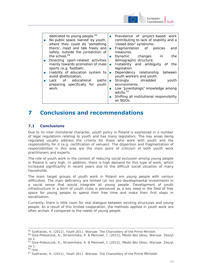

| dedicated to young people. <sup>63</sup><br>No public space 'owned' by youth,<br>where they could do 'something | Prevalence of project-based work<br>$\mathcal{L}_{\rm{max}}$<br>contributing to lack of stability and a<br>'closed door' syndrome. |
|-----------------------------------------------------------------------------------------------------------------|------------------------------------------------------------------------------------------------------------------------------------|
| theirs', meet and talk freely and                                                                               | Fragmentation of policies<br>and<br>$\mathcal{L}_{\mathcal{A}}$                                                                    |
| safely, outside the jurisdiction of                                                                             | measures.                                                                                                                          |
| the school. <sup>64</sup>                                                                                       | Dynamic changes in<br>the<br><b>Tall</b>                                                                                           |
| Directing sport-related activities                                                                              | demographic structure.                                                                                                             |
| mainly towards promotion of male                                                                                | Instability and ambiguity of<br>the<br>$\sim$                                                                                      |
| sports (e.g. football).                                                                                         | legislation.                                                                                                                       |
| Inability of education system to                                                                                | Dependency relationship<br>between<br>$\sim$                                                                                       |
| avoid ghettoisation.                                                                                            | youth workers and youth.                                                                                                           |
| Lack of educational<br>paths                                                                                    | Strongly shredded<br>youth<br><b>College</b>                                                                                       |
| preparing specifically for<br>youth                                                                             | environments.                                                                                                                      |
| work.                                                                                                           | Low 'juventologic' knowledge among<br><b>Tall</b>                                                                                  |
|                                                                                                                 | adults. <sup>67</sup>                                                                                                              |
|                                                                                                                 | Shifting all institutional responsibility<br>$\sim 1$                                                                              |
|                                                                                                                 | on NGOs.                                                                                                                           |
|                                                                                                                 |                                                                                                                                    |

# **7 Conclusions and recommendations**

# **7.1 Conclusions**

Due to its inter-ministerial character, youth policy in Poland is expressed in a number of legal regulations relating to youth and has many legislators. The key areas being regulated usually address the criteria for those who work with youth and the responsibility for it (e.g. certification of venues). The dispersion and fragmentation of responsibilities in this area are the main point of criticism of both youth work practitioners and experts.

The role of youth work in the context of reducing social exclusion among young people in Poland is very high. In addition, there is high demand for this type of work, which increased significantly in recent years due to the difficult social situation of many households.

The main target groups of youth work in Poland are young people with various difficulties. The main deficiency are limited (or no) pro-developmental investments in a social sense that would integrate all young people. Development of youth infrastructure in a form of youth clubs is perceived as a key need in the field of free space for young people to spend their free time and make their first steps in socialisation.

Currently, there is little room for real dialogue between existing structures and young people. As a result of this limited cooperation, the methods applied in youth work are often archaic if compared to the needs of young people.

-

<sup>65</sup> Szafraniec, K. (2011), *Youth 2011*. Warsaw: The Chancellery of the Prime Minister.

<sup>66</sup> Giza-Poleszczuk, A., Strzemińska, A. & Mencwel, J. (2012), *Młodzi Bez Głosu.* Warsaw: Zeszyt no 1.

<sup>63</sup> Giza-Poleszczuk, A., Strzemińska, A. & Mencwel, J. (2012), *Młodzi Bez Głosu.* Warsaw: Zeszyt no 1.

 $64$  Ibid.

<sup>67</sup> Szafraniec, K. (2011), *Youth 2011*. Warsaw: The Chancellery of the Prime Minister.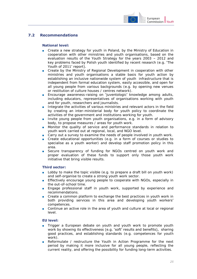

# **7.2 Recommendations**

#### **National level:**

- Create a new strategy for youth in Poland, by the Ministry of Education in cooperation with other ministries and youth organisations, based on the evaluation results of the Youth Strategy for the years 2003 – 2012 and key problems faced by Polish youth identified by recent research (e.g. 'The Youth of 2011' report).
- Create by the Ministry of Regional Development in cooperation with other ministries and youth organisations a stable basis for youth action by establishing an inclusive nationwide system of youth infrastructure that is independent from formal education system, easily accessible, and open for all young people from various backgrounds (e.g. by opening new venues or restitution of culture houses / centres network).
- Encourage awareness-raising on 'juventologic' knowledge among adults, including educators, representatives of organisations working with youth and for youth, researchers and journalists.
- Integrate the activities of various ministries and relevant actors in the field by creating an inter-ministerial body for youth policy to coordinate the activities of the government and institutions working for youth.
- Invite young people from youth organisations, e.g. in a form of advisory body, to propose measures / areas for youth work.
- Monitor the quality of service and performance standards in relation to youth work carried out at regional, local, and NGO level.
- Carry out a survey to examine the needs of people involved in youth work.
- Create educational opportunities (e.g. in a form of courses or studies to specialise as a youth worker) and develop staff promotion policy in this area.
- Secure transparency of funding for NGOs centred on youth work and proper evaluation of these funds to support only those youth work initiative that bring visible results.

#### **Third sector:**

- Lobby to make the topic visible (e.g. to prepare a draft bill on youth work) and self-organise to create a strong youth work sector.
- Effectively encourage young people to cooperate with NGOs, especially in the out-of-school time.
- Engage professional staff in youth work, supported by experience and recommendations.
- Create a common platform to exchange the best practices in youth work in both providing services in this area and developing youth workers' competences.
- Continue an active role in the area of youth and culture at local or regional level.

#### **EU level:**

- Trigger a European debate on youth and youth work to promote youth work by showing its effectiveness (e.g. 'soft' results and benefits), sharing good practices, and establishing standards (e.g. competences for youth work).
- Reformulate / restructure the Youth in Action Programme for the next period by making it more inclusive for all young people, reflecting the current reality, and offering the possibility for funding long-term activities.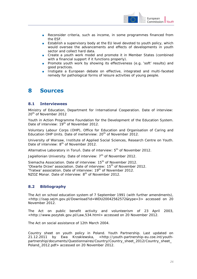

- Reconsider criteria, such as income, in some programmes financed from the ESF.
- Establish a supervisory body at the EU level devoted to youth policy, which would oversee the advancements and effects of developments in youth sector and collect hard data.
- Create a youth work model and promote it in Member States (combined with a financial support if it functions properly).
- Promote youth work by showing its effectiveness (e.g. 'soft' results) and good practices.
- Instigate a European debate on effective, integrated and multi-faceted remedy for pathological forms of leisure activities of young people.

# **8 Sources**

#### **8.1 Interviewees**

Ministry of Education, Department for International Cooperation. Date of interview: 20<sup>th</sup> of November 2012

Youth in Action Programme Foundation for the Development of the Education System. Date of interview: 19<sup>th</sup> of November 2012.

Voluntary Labour Corps (OHP), Office for Education and Organisation of Caring and Education OHP Units. Date of inerterview: 20<sup>th</sup> of November 2012.

University of Warsaw, Institute of Applied Social Sciences, Research Centre on Youth. Date of interview: 8<sup>th</sup> of November 2012.

Alternative Laboratory in Toruń. Date of interview:  $5<sup>th</sup>$  of November 2012.

Jagiellonian University. Date of interview: 7<sup>th</sup> of November 2012.

Siemacha Association. Date of interview: 15<sup>th</sup> of November 2012. 'Otwarte Drzwi' association. Date of interview: 15<sup>th</sup> of November 2012. 'Tratwa' association. Date of interview: 19<sup>th</sup> of November 2012. NZOZ Monar. Date of interview: 8<sup>th</sup> of November 2012.

# **8.2 Bibliography**

The Act on school education system of 7 September 1991 (with further amendments), <http://isap.sejm.gov.pl/Download?id=WDU20042562572&type=3> accessed on 20 November 2012.

The Act on public benefit activity and volunteerism of 23 April 2003, <http://www.pozytek.gov.pl/Law,534.html> accessed on 20 November 2012.

The Act on social assistance of 12th March 2004.

Country sheet on youth policy in Poland. Youth Partnership. Last updated on 21.12.2011 by Ewa Krzaklewska, [<http://youth-partnership-eu.coe.int/youth](http://youth-partnership-eu.coe.int/youth-partnership/documents/Questionnaires/Country/Country_sheet_2012/Country_sheet_Poland_2012.pdf)[partnership/documents/Questionnaires/Country/Country\\_sheet\\_2012/Country\\_sheet\\_](http://youth-partnership-eu.coe.int/youth-partnership/documents/Questionnaires/Country/Country_sheet_2012/Country_sheet_Poland_2012.pdf) Poland 2012.pdf > accessed on 20 November 2012.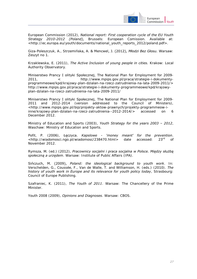

European Commission (2012), *National report: First cooperation cycle of the EU Youth Strategy 2010-2012 (Poland),* Brussels: European Comission. Available at: <http://ec.europa.eu/youth/documents/national\_youth\_reports\_2012/poland.pdf>.

Giza-Poleszczuk, A., Strzemińska, A. & Mencwel, J. (2012), *Młodzi Bez Głosu.* Warsaw: Zeszyt no 1.

Krzaklewska, E. (2011), *The Active Inclusion of young people in cities.* Krakow: Local Authority Observatory.

Miniserstwo Prancy I olityki Społecznej, The National Plan for Employment for 2009- 2011, < [http://www.mpips.gov.pl/praca/strategie-i-dokumenty](http://www.mpips.gov.pl/praca/strategie-i-dokumenty-programowe/kpd/krajowy-plan-dzialan-na-rzecz-zatrudnienia-na-lata-2009-2011/)[programmeowe/kpd/krajowy-plan-dzialan-na-rzecz-zatrudnienia-na-lata-2009-2011/>](http://www.mpips.gov.pl/praca/strategie-i-dokumenty-programowe/kpd/krajowy-plan-dzialan-na-rzecz-zatrudnienia-na-lata-2009-2011/) http://www.mpips.gov.pl/praca/strategie-i-dokumenty-programmeowe/kpd/krajowyplan-dzialan-na-rzecz-zatrudnienia-na-lata-2009-2011/

Miniserstwo Prancy I olityki Społecznej, The National Plan for Employment for 2009-2011 and 2012-2014 (version addressed to the Council of Ministers), [<http://www.mpips.gov.pl/bip/projekty-aktow-prawnych/projekty-programmeow-i](http://www.mpips.gov.pl/bip/projekty-aktow-prawnych/projekty-programow-i-inne/krajowy-plan-dzialan-na-rzecz-zatrudnienia--2012-2014/)[inne/krajowy-plan-dzialan-na-rzecz-zatrudnienia--2012-2014/>](http://www.mpips.gov.pl/bip/projekty-aktow-prawnych/projekty-programow-i-inne/krajowy-plan-dzialan-na-rzecz-zatrudnienia--2012-2014/) accessed on 6 December 2012.

Ministry of Education and Sports (2003), *Youth Strategy for the years 2003 – 2012*, Waschaw: Ministry of Education and Sports.

Pofit, P. (2006), Łęczyca. *Kapslowe - 'money meant' for the prevention*. [<http://wiadomosci.ngo.pl/wiadomosc/238470.html>](http://wiadomosci.ngo.pl/wiadomosc/238470.html) date accessed: 23rd of November 2012.

Rymsza, M. (ed.) (2012), *Pracownicy socjalni i praca socjalna w Polsce. Między służbą społeczną a urzędem*. Warsaw: Institute of Public Affairs (IPA).

Sińczuch, M. (2009), *Poland: the ideological background to youth work*. In: Verschelden, G., Coussée, F., Van de Walle, T. and Williamson, H. (eds.) (2010). *The history of youth work in Europe and its relevance for youth policy today*, Strasbourg: Council of Europe Publishing.

Szafraniec, K. (2011), *The Youth of 2011*. Warsaw: The Chancellery of the Prime Minister.

Youth 2008 (2009), *Opinions and Diagnoses*. Warsaw: CBOS.